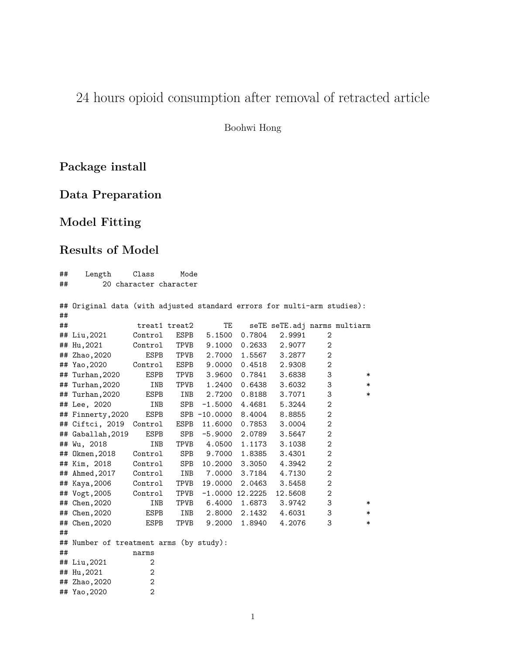# 24 hours opioid consumption after removal of retracted article

Boohwi Hong

## **Package install**

**Data Preparation**

## **Model Fitting**

### **Results of Model**

| ##                           | Length<br>Class<br>Mode                                                 |                |               |              |                     |                              |                |        |
|------------------------------|-------------------------------------------------------------------------|----------------|---------------|--------------|---------------------|------------------------------|----------------|--------|
| 20 character character<br>## |                                                                         |                |               |              |                     |                              |                |        |
|                              |                                                                         |                |               |              |                     |                              |                |        |
|                              | ## Original data (with adjusted standard errors for multi-arm studies): |                |               |              |                     |                              |                |        |
| ##                           |                                                                         |                |               |              |                     |                              |                |        |
| ##                           |                                                                         |                | treat1 treat2 | <b>TE</b>    |                     | seTE seTE.adj narms multiarm |                |        |
|                              | ## Liu,2021                                                             | Control        | ESPB          | 5.1500       | 0.7804              | 2.9991                       | $\sqrt{2}$     |        |
|                              | ## Hu, 2021                                                             | Control        | TPVB          | 9.1000       | 0.2633              | 2.9077                       | $\sqrt{2}$     |        |
|                              | ## Zhao, 2020                                                           | <b>ESPB</b>    | TPVB          | 2.7000       | 1.5567              | 3.2877                       | $\mathbf 2$    |        |
|                              | ## Yao, 2020                                                            | Control        | ESPB          | 9.0000       | 0.4518              | 2.9308                       | $\mathbf{2}$   |        |
|                              | ## Turhan, 2020                                                         | <b>ESPB</b>    | TPVB          | 3.9600       | 0.7841              | 3.6838                       | 3              | $\ast$ |
|                              | ## Turhan, 2020                                                         | INB            | TPVB          | 1.2400       | 0.6438              | 3.6032                       | 3              | $\ast$ |
|                              | ## Turhan, 2020                                                         | <b>ESPB</b>    | INB           | 2.7200       | 0.8188              | 3.7071                       | 3              | $\ast$ |
|                              | ## Lee, 2020                                                            | INB            | SPB           | $-1.5000$    | 4.4681              | 5.3244                       | $\sqrt{2}$     |        |
|                              | ## Finnerty, 2020                                                       | <b>ESPB</b>    |               | SPB -10.0000 | 8.4004              | 8.8855                       | $\mathbf 2$    |        |
|                              | ## Ciftci, 2019                                                         | Control        | ESPB          | 11.6000      | 0.7853              | 3.0004                       | $\mathbf{2}$   |        |
|                              | ## Gaballah, 2019                                                       | <b>ESPB</b>    | <b>SPB</b>    | $-5.9000$    | 2.0789              | 3.5647                       | $\sqrt{2}$     |        |
|                              | ## Wu, 2018                                                             | INB            | TPVB          | 4.0500       | 1.1173              | 3.1038                       | $\sqrt{2}$     |        |
|                              | ## Okmen, 2018                                                          | Control        | <b>SPB</b>    | 9.7000       | 1.8385              | 3.4301                       | $\sqrt{2}$     |        |
|                              | ## Kim, 2018                                                            | Control        | SPB           | 10.2000      | 3.3050              | 4.3942                       | $\mathbf 2$    |        |
|                              | ## Ahmed, 2017                                                          | Control        | INB           | 7.0000       | 3.7184              | 4.7130                       | $\overline{2}$ |        |
|                              | ## Kaya,2006                                                            | Control        | TPVB          | 19.0000      | 2.0463              | 3.5458                       | $\mathbf 2$    |        |
|                              | ## Vogt, 2005                                                           | Control        | TPVB          |              | $-1.0000$ $12.2225$ | 12.5608                      | $\mathbf{2}$   |        |
|                              | ## Chen, 2020                                                           | INB            | TPVB          | 6.4000       | 1.6873              | 3.9742                       | 3              | $\ast$ |
|                              | ## Chen, 2020                                                           | ESPB           | INB           | 2.8000       | 2.1432              | 4.6031                       | 3              | $\ast$ |
|                              | ## Chen, 2020                                                           | ESPB           | TPVB          | 9.2000       | 1.8940              | 4.2076                       | 3              | $\ast$ |
| ##                           |                                                                         |                |               |              |                     |                              |                |        |
|                              | ## Number of treatment arms (by study):                                 |                |               |              |                     |                              |                |        |
| ##                           |                                                                         | narms          |               |              |                     |                              |                |        |
|                              | ## Liu,2021                                                             | 2              |               |              |                     |                              |                |        |
|                              | ## Hu, 2021                                                             | 2              |               |              |                     |                              |                |        |
|                              | ## Zhao, 2020                                                           | 2              |               |              |                     |                              |                |        |
|                              | ## Yao, 2020                                                            | $\overline{2}$ |               |              |                     |                              |                |        |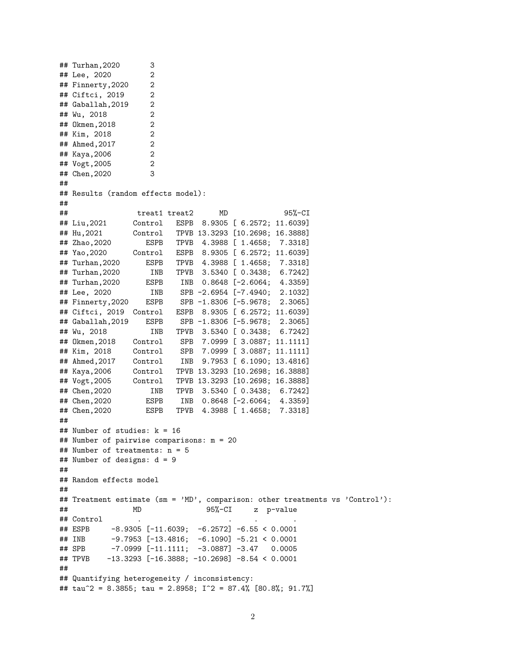```
## Turhan,2020 3
## Lee, 2020 2
## Finnerty,2020 2
## Ciftci, 2019 2
## Gaballah, 2019 2
## Wu, 2018 2
## Okmen,2018 2
## Kim, 2018 2
## Ahmed,2017 2
## Kaya,2006 2
## Vogt,2005 2
## Chen,2020 3
##
## Results (random effects model):
##
## treat1 treat2 MD 95%-CI
## Liu,2021 Control ESPB 8.9305 [ 6.2572; 11.6039]
## Hu,2021 Control TPVB 13.3293 [10.2698; 16.3888]
## Zhao,2020 ESPB TPVB 4.3988 [ 1.4658; 7.3318]
## Yao,2020 Control ESPB 8.9305 [ 6.2572; 11.6039]
## Turhan,2020 ESPB TPVB 4.3988 [ 1.4658; 7.3318]
## Turhan,2020 INB TPVB 3.5340 [ 0.3438; 6.7242]
## Turhan,2020 ESPB INB 0.8648 [-2.6064; 4.3359]
## Lee, 2020 INB SPB -2.6954 [-7.4940; 2.1032]
## Finnerty,2020 ESPB SPB -1.8306 [-5.9678; 2.3065]
## Ciftci, 2019 Control ESPB 8.9305 [ 6.2572; 11.6039]
## Gaballah,2019 ESPB SPB -1.8306 [-5.9678; 2.3065]
## Wu, 2018 INB TPVB 3.5340 [ 0.3438; 6.7242]
## Okmen,2018 Control SPB 7.0999 [ 3.0887; 11.1111]
## Kim, 2018 Control SPB 7.0999 [ 3.0887; 11.1111]
## Ahmed,2017 Control INB 9.7953 [ 6.1090; 13.4816]
## Kaya,2006 Control TPVB 13.3293 [10.2698; 16.3888]
## Vogt,2005 Control TPVB 13.3293 [10.2698; 16.3888]
## Chen,2020 INB TPVB 3.5340 [ 0.3438; 6.7242]
## Chen,2020 ESPB INB 0.8648 [-2.6064; 4.3359]
## Chen,2020 ESPB TPVB 4.3988 [ 1.4658; 7.3318]
##
## Number of studies: k = 16
## Number of pairwise comparisons: m = 20
## Number of treatments: n = 5
## Number of designs: d = 9
##
## Random effects model
##
## Treatment estimate (sm = 'MD', comparison: other treatments vs 'Control'):
## MD 95%-CI z p-value
## Control
## ESPB -8.9305 [-11.6039; -6.2572] -6.55 < 0.0001## INB -9.7953 [-13.4816; -6.1090] -5.21 < 0.0001
## SPB -7.0999 [-11.1111; -3.0887] -3.47 0.0005
## TPVB -13.3293 [-16.3888; -10.2698] -8.54 < 0.0001
##
## Quantifying heterogeneity / inconsistency:
## tau^2 = 8.3855; tau = 2.8958; I^2 = 87.4% [80.8%; 91.7%]
```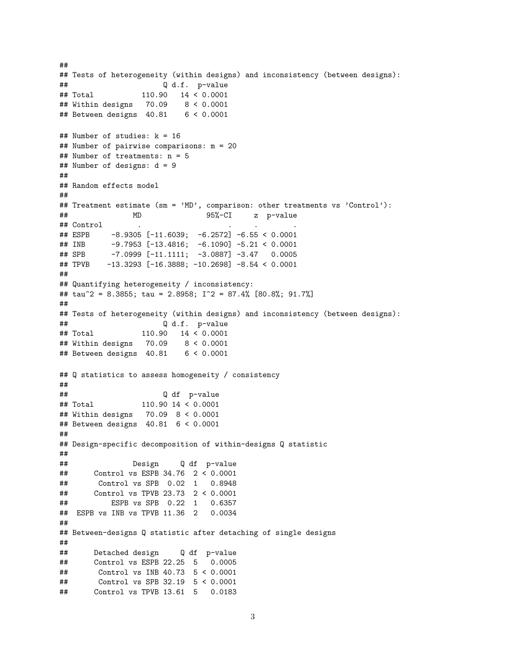```
##
## Tests of heterogeneity (within designs) and inconsistency (between designs):
## Q d.f. p-value
## Total 110.90 14 < 0.0001
## Within designs 70.09 8 < 0.0001
## Between designs 40.81 6 < 0.0001
## Number of studies: k = 16
## Number of pairwise comparisons: m = 20
## Number of treatments: n = 5
## Number of designs: d = 9
##
## Random effects model
##
## Treatment estimate (sm = 'MD', comparison: other treatments vs 'Control'):
## MD 95%-CI z p-value
## Control
## ESPB -8.9305 [-11.6039; -6.2572] -6.55 < 0.0001
## INB -9.7953 [-13.4816; -6.1090] -5.21 < 0.0001
## SPB -7.0999 [-11.1111; -3.0887] -3.47 0.0005
## TPVB -13.3293 [-16.3888; -10.2698] -8.54 < 0.0001
##
## Quantifying heterogeneity / inconsistency:
## tau^2 = 8.3855; tau = 2.8958; I^2 = 87.4% [80.8%; 91.7%]
##
## Tests of heterogeneity (within designs) and inconsistency (between designs):
## Q d.f. p-value
## Total 110.90 14 < 0.0001
## Within designs 70.09 8 < 0.0001
## Between designs 40.81 6 < 0.0001
## Q statistics to assess homogeneity / consistency
##
## Q df p-value
## Total 110.90 14 < 0.0001
## Within designs 70.09 8 < 0.0001
## Between designs 40.81 6 < 0.0001
##
## Design-specific decomposition of within-designs Q statistic
##
## Design Q df p-value
## Control vs ESPB 34.76 2 < 0.0001
## Control vs SPB 0.02 1 0.8948
## Control vs TPVB 23.73 2 < 0.0001
## ESPB vs SPB 0.22 1 0.6357
## ESPB vs INB vs TPVB 11.36 2 0.0034
##
## Between-designs Q statistic after detaching of single designs
##
## Detached design Q df p-value
## Control vs ESPB 22.25 5 0.0005
## Control vs INB 40.73 5 < 0.0001
## Control vs SPB 32.19 5 < 0.0001
## Control vs TPVB 13.61 5 0.0183
```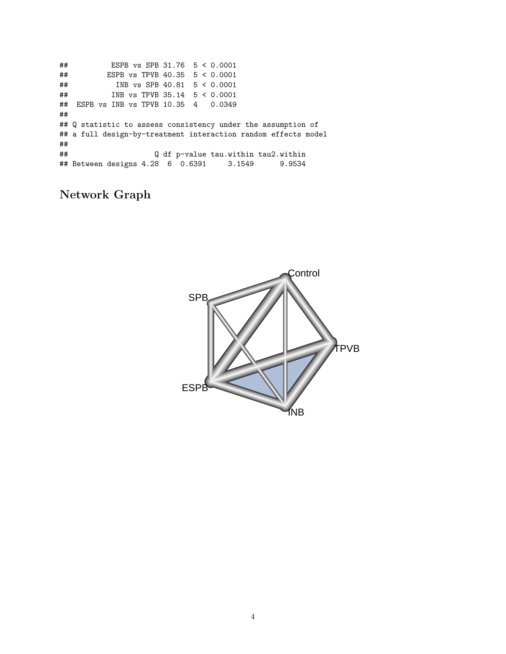## ESPB vs SPB 31.76 5 < 0.0001 ## ESPB vs TPVB 40.35 5 < 0.0001 ## INB vs SPB 40.81 5 < 0.0001 ## INB vs TPVB 35.14 5 < 0.0001 ## ESPB vs INB vs TPVB 10.35 4 0.0349 ## ## Q statistic to assess consistency under the assumption of ## a full design-by-treatment interaction random effects model ## ## Q df p-value tau.within tau2.within ## Between designs 4.28 6 0.6391 3.1549 9.9534

### **Network Graph**

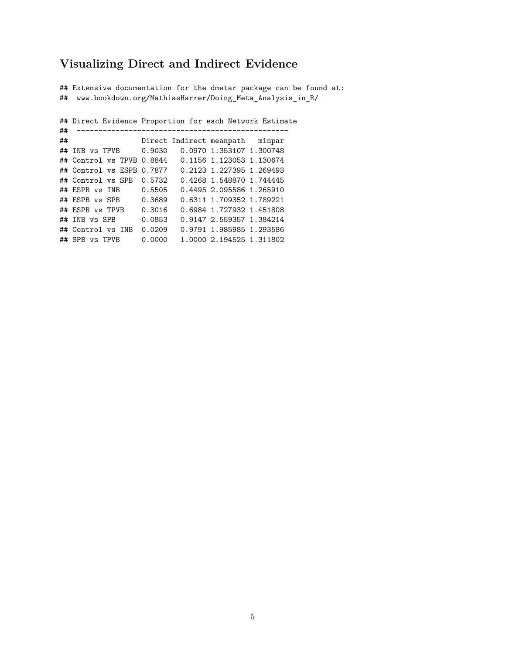#### **Visualizing Direct and Indirect Evidence**

## Extensive documentation for the dmetar package can be found at: ## www.bookdown.org/MathiasHarrer/Doing\_Meta\_Analysis\_in\_R/

## Direct Evidence Proportion for each Network Estimate ## ------------------------------------------------- Direct Indirect meanpath minpar ## INB vs TPVB 0.9030 0.0970 1.353107 1.300748 ## Control vs TPVB 0.8844 0.1156 1.123053 1.130674 ## Control vs ESPB 0.7877 0.2123 1.227395 1.269493 ## Control vs SPB 0.5732 0.4268 1.548870 1.744445 ## ESPB vs INB 0.5505 0.4495 2.095586 1.265910 ## ESPB vs SPB 0.3689 0.6311 1.709352 1.789221 ## ESPB vs TPVB 0.3016 0.6984 1.727932 1.451808 ## INB vs SPB 0.0853 0.9147 2.559357 1.384214 ## Control vs INB 0.0209 0.9791 1.985985 1.293586 ## SPB vs TPVB 0.0000 1.0000 2.194525 1.311802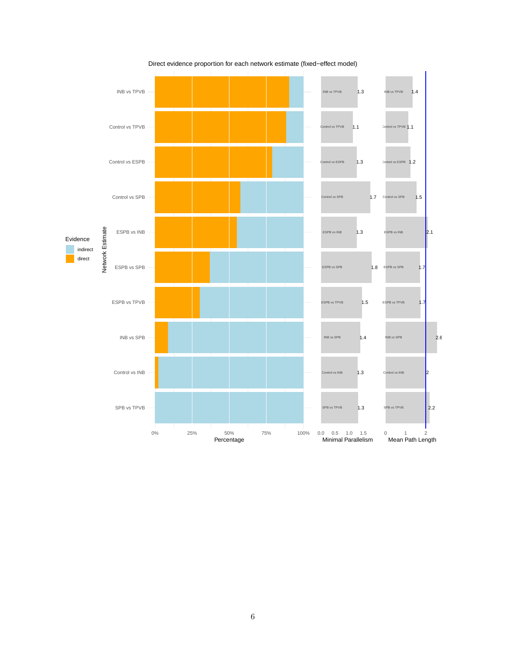

Direct evidence proportion for each network estimate (fixed−effect model)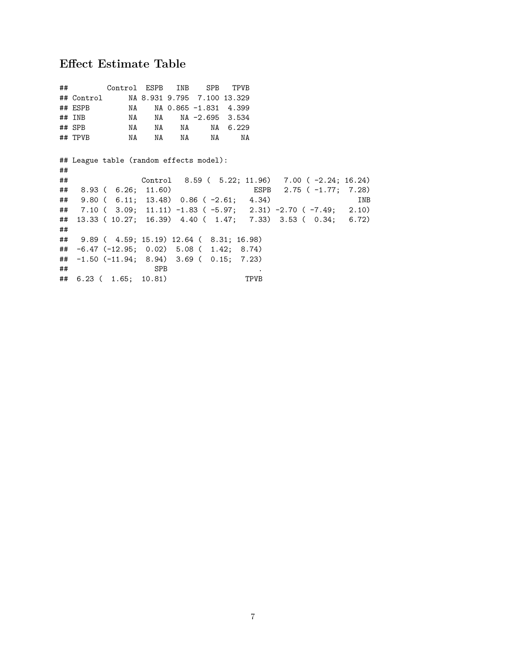## **Effect Estimate Table**

|    | ## Control ESPB INB SPB TPVB                   |          |            |                          |          |      |                                                               |            |
|----|------------------------------------------------|----------|------------|--------------------------|----------|------|---------------------------------------------------------------|------------|
|    | ## Control MA 8.931 9.795 7.100 13.329         |          |            |                          |          |      |                                                               |            |
|    | ## ESPB                                        |          |            | NA NA 0.865 -1.831 4.399 |          |      |                                                               |            |
|    | ## INB                                         |          |            | NA NA NA -2.695 3.534    |          |      |                                                               |            |
|    | ## SPB                                         | NA NA NA |            |                          | NA 6.229 |      |                                                               |            |
|    |                                                |          |            | NA                       | NA       |      |                                                               |            |
|    |                                                |          |            |                          |          |      |                                                               |            |
|    | ## League table (random effects model):        |          |            |                          |          |      |                                                               |            |
| ## |                                                |          |            |                          |          |      |                                                               |            |
| ## |                                                |          |            |                          |          |      | Control 8.59 ( 5.22; 11.96) 7.00 (-2.24; 16.24)               |            |
|    | ## 8.93 ( 6.26; 11.60)                         |          |            |                          |          |      | ESPB 2.75 ( -1.77; 7.28)                                      |            |
| ## | $9.80$ ( 6.11; 13.48) 0.86 ( -2.61; 4.34)      |          |            |                          |          |      |                                                               | <b>INB</b> |
|    |                                                |          |            |                          |          |      | ## 7.10 (3.09; 11.11) -1.83 (-5.97; 2.31) -2.70 (-7.49; 2.10) |            |
|    |                                                |          |            |                          |          |      | ## 13.33 (10.27; 16.39) 4.40 (1.47; 7.33) 3.53 (0.34; 6.72)   |            |
| ## |                                                |          |            |                          |          |      |                                                               |            |
|    | ## 9.89 ( 4.59; 15.19) 12.64 ( 8.31; 16.98)    |          |            |                          |          |      |                                                               |            |
|    | $\#$ $-6.47$ (-12.95; 0.02) 5.08 (1.42; 8.74)  |          |            |                          |          |      |                                                               |            |
|    | $\#$ $-1.50$ (-11.94; 8.94) 3.69 ( 0.15; 7.23) |          |            |                          |          |      |                                                               |            |
| ## |                                                |          | <b>SPB</b> |                          |          |      |                                                               |            |
|    | ## 6.23 ( 1.65; 10.81)                         |          |            |                          |          | TPVB |                                                               |            |
|    |                                                |          |            |                          |          |      |                                                               |            |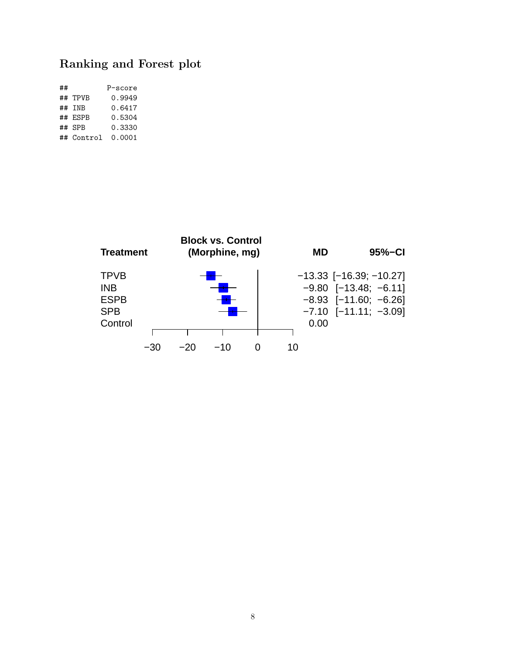## **Ranking and Forest plot**

| ## |            | P-score |
|----|------------|---------|
|    | ## TPVB    | 0.9949  |
|    | ## TNB     | 0.6417  |
|    | ## ESPB    | 0.5304  |
|    | ## SPR     | 0.3330  |
|    | ## Control | 0.0001  |

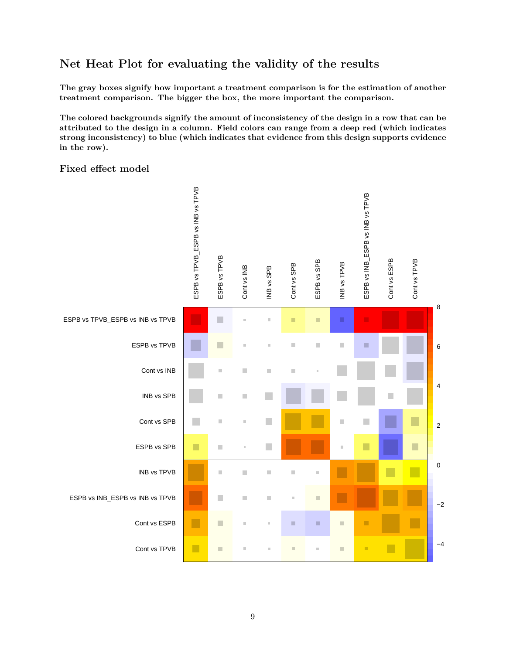#### **Net Heat Plot for evaluating the validity of the results**

**The gray boxes signify how important a treatment comparison is for the estimation of another treatment comparison. The bigger the box, the more important the comparison.**

**The colored backgrounds signify the amount of inconsistency of the design in a row that can be attributed to the design in a column. Field colors can range from a deep red (which indicates strong inconsistency) to blue (which indicates that evidence from this design supports evidence in the row).**

#### **Fixed effect model**

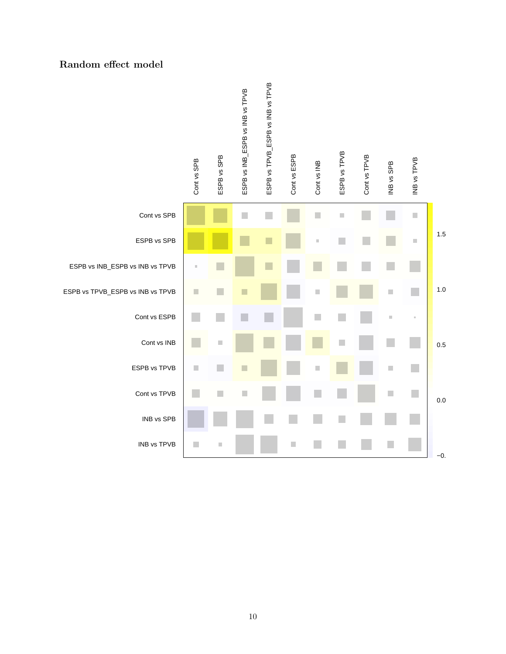#### **Random effect model**

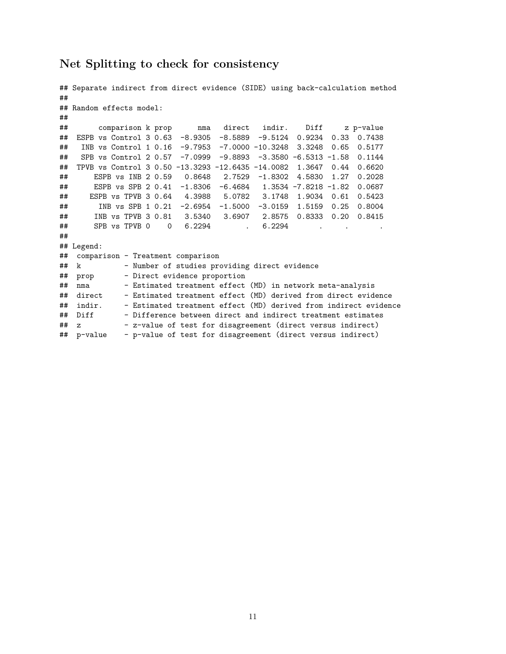#### **Net Splitting to check for consistency**

```
## Separate indirect from direct evidence (SIDE) using back-calculation method
##
## Random effects model:
##
## comparison k prop nma direct indir. Diff z p-value
## ESPB vs Control 3 0.63 -8.9305 -8.5889 -9.5124 0.9234 0.33 0.7438
## INB vs Control 1 0.16 -9.7953 -7.0000 -10.3248 3.3248 0.65 0.5177
## SPB vs Control 2 0.57 -7.0999 -9.8893 -3.3580 -6.5313 -1.58 0.1144
## TPVB vs Control 3 0.50 -13.3293 -12.6435 -14.0082 1.3647 0.44 0.6620
## ESPB vs INB 2 0.59 0.8648 2.7529 -1.8302 4.5830 1.27 0.2028
## ESPB vs SPB 2 0.41 -1.8306 -6.4684 1.3534 -7.8218 -1.82 0.0687
## ESPB vs TPVB 3 0.64 4.3988 5.0782 3.1748 1.9034 0.61 0.5423
## INB vs SPB 1 0.21 -2.6954 -1.5000 -3.0159 1.5159 0.25 0.8004
## INB vs TPVB 3 0.81 3.5340 3.6907 2.8575 0.8333 0.20 0.8415
## SPB vs TPVB 0 0 6.2294 . 6.2294 . .
##
## Legend:
## comparison - Treatment comparison
## k - Number of studies providing direct evidence
## prop - Direct evidence proportion
## nma - Estimated treatment effect (MD) in network meta-analysis<br>## direct - Estimated treatment effect (MD) derived from direct evide
## direct - Estimated treatment effect (MD) derived from direct evidence
             - Estimated treatment effect (MD) derived from indirect evidence
## Diff - Difference between direct and indirect treatment estimates
## z - z-value of test for disagreement (direct versus indirect)
## p-value - p-value of test for disagreement (direct versus indirect)
```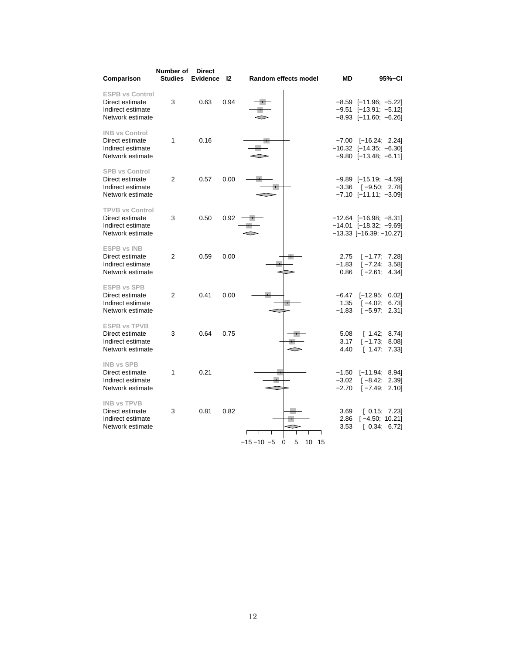| Comparison                                                                         | Number of<br><b>Studies</b> | <b>Direct</b><br><b>Evidence</b> | 12   |                | <b>Random effects model</b> | МD                            | 95%-CI                                                                                      |
|------------------------------------------------------------------------------------|-----------------------------|----------------------------------|------|----------------|-----------------------------|-------------------------------|---------------------------------------------------------------------------------------------|
| <b>ESPB vs Control</b><br>Direct estimate<br>Indirect estimate<br>Network estimate | 3                           | 0.63                             | 0.94 |                |                             |                               | $-8.59$ [ $-11.96$ ; $-5.22$ ]<br>$-9.51$ [-13.91; -5.12]<br>$-8.93$ [ $-11.60$ ; $-6.26$ ] |
| <b>INB vs Control</b><br>Direct estimate<br>Indirect estimate<br>Network estimate  | 1                           | 0.16                             |      |                |                             |                               | $-7.00$ $[-16.24; 2.24]$<br>$-10.32$ [-14.35; -6.30]<br>$-9.80$ [ $-13.48$ ; $-6.11$ ]      |
| <b>SPB vs Control</b><br>Direct estimate<br>Indirect estimate<br>Network estimate  | $\overline{2}$              | 0.57                             | 0.00 |                |                             | $-3.36$                       | $-9.89$ [-15.19; -4.59]<br>$[-9.50; 2.78]$<br>$-7.10$ $[-11.11; -3.09]$                     |
| <b>TPVB vs Control</b><br>Direct estimate<br>Indirect estimate<br>Network estimate | 3                           | 0.50                             | 0.92 |                |                             |                               | $-12.64$ [-16.98; -8.31]<br>$-14.01$ [-18.32; -9.69]<br>$-13.33$ [ $-16.39$ ; $-10.27$ ]    |
| <b>ESPB vs INB</b><br>Direct estimate<br>Indirect estimate<br>Network estimate     | $\overline{2}$              | 0.59                             | 0.00 |                |                             | 2.75<br>$-1.83$<br>0.86       | $[-1.77; 7.28]$<br>$[-7.24; 3.58]$<br>$[-2.61; 4.34]$                                       |
| <b>ESPB vs SPB</b><br>Direct estimate<br>Indirect estimate<br>Network estimate     | $\overline{2}$              | 0.41                             | 0.00 |                |                             | $-6.47$<br>1.35<br>$-1.83$    | $[-12.95; 0.02]$<br>$[-4.02; 6.73]$<br>$[-5.97; 2.31]$                                      |
| <b>ESPB vs TPVB</b><br>Direct estimate<br>Indirect estimate<br>Network estimate    | 3                           | 0.64                             | 0.75 |                |                             | 5.08<br>3.17<br>4.40          | [1.42; 8.74]<br>$[-1.73; 8.08]$<br>[1.47; 7.33]                                             |
| <b>INB vs SPB</b><br>Direct estimate<br>Indirect estimate<br>Network estimate      | 1                           | 0.21                             |      |                |                             | $-1.50$<br>$-3.02$<br>$-2.70$ | $[-11.94; 8.94]$<br>$[-8.42; 2.39]$<br>$[-7.49; 2.10]$                                      |
| <b>INB vs TPVB</b><br>Direct estimate<br>Indirect estimate<br>Network estimate     | 3                           | 0.81                             | 0.82 | $-15 - 10 - 5$ | 5<br>10<br>15<br>0          | 3.69<br>2.86<br>3.53          | [0.15; 7.23]<br>$[-4.50; 10.21]$<br>[0.34; 6.72]                                            |